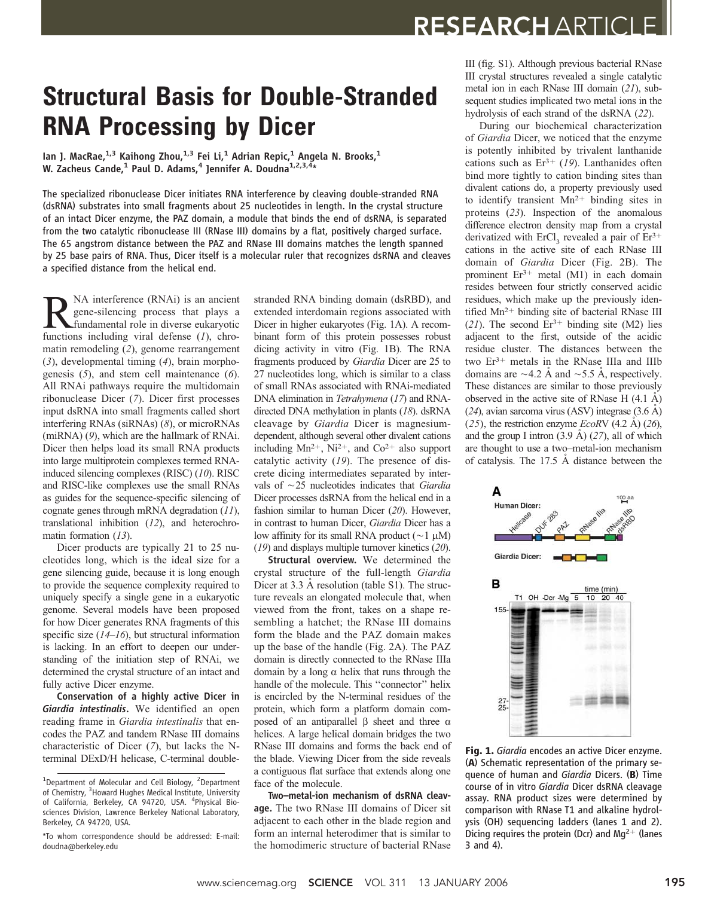## Structural Basis for Double-Stranded RNA Processing by Dicer

Ian J. MacRae, $^{1,3}$  Kaihong Zhou, $^{1,3}$  Fei Li, $^1$  Adrian Repic, $^1$  Angela N. Brooks, $^1$ W. Zacheus Cande,<sup>1</sup> Paul D. Adams,<sup>4</sup> Jennifer A. Doudna<sup>1,2,3,4</sup>\*

The specialized ribonuclease Dicer initiates RNA interference by cleaving double-stranded RNA (dsRNA) substrates into small fragments about 25 nucleotides in length. In the crystal structure of an intact Dicer enzyme, the PAZ domain, a module that binds the end of dsRNA, is separated from the two catalytic ribonuclease III (RNase III) domains by a flat, positively charged surface. The 65 angstrom distance between the PAZ and RNase III domains matches the length spanned by 25 base pairs of RNA. Thus, Dicer itself is a molecular ruler that recognizes dsRNA and cleaves a specified distance from the helical end.

NA interference (RNAi) is an ancient gene-silencing process that plays a fundamental role in diverse eukaryotic functions including viral defense  $(1)$ , chromatin remodeling (2), genome rearrangement (3), developmental timing (4), brain morphogenesis  $(5)$ , and stem cell maintenance  $(6)$ . All RNAi pathways require the multidomain ribonuclease Dicer (7). Dicer first processes input dsRNA into small fragments called short interfering RNAs (siRNAs) (8), or microRNAs (miRNA) (9), which are the hallmark of RNAi. Dicer then helps load its small RNA products into large multiprotein complexes termed RNAinduced silencing complexes (RISC) (10). RISC and RISC-like complexes use the small RNAs as guides for the sequence-specific silencing of cognate genes through mRNA degradation (11), translational inhibition (12), and heterochromatin formation (13).

Dicer products are typically 21 to 25 nucleotides long, which is the ideal size for a gene silencing guide, because it is long enough to provide the sequence complexity required to uniquely specify a single gene in a eukaryotic genome. Several models have been proposed for how Dicer generates RNA fragments of this specific size  $(14–16)$ , but structural information is lacking. In an effort to deepen our understanding of the initiation step of RNAi, we determined the crystal structure of an intact and fully active Dicer enzyme.

Conservation of a highly active Dicer in Giardia intestinalis. We identified an open reading frame in Giardia intestinalis that encodes the PAZ and tandem RNase III domains characteristic of Dicer (7), but lacks the Nterminal DExD/H helicase, C-terminal doublestranded RNA binding domain (dsRBD), and extended interdomain regions associated with Dicer in higher eukaryotes (Fig. 1A). A recombinant form of this protein possesses robust dicing activity in vitro (Fig. 1B). The RNA fragments produced by Giardia Dicer are 25 to 27 nucleotides long, which is similar to a class of small RNAs associated with RNAi-mediated DNA elimination in Tetrahymena (17) and RNAdirected DNA methylation in plants (18). dsRNA cleavage by Giardia Dicer is magnesiumdependent, although several other divalent cations including  $Mn^{2+}$ , Ni<sup>2+</sup>, and Co<sup>2+</sup> also support catalytic activity (19). The presence of discrete dicing intermediates separated by intervals of  $\sim$ 25 nucleotides indicates that Giardia Dicer processes dsRNA from the helical end in a fashion similar to human Dicer (20). However, in contrast to human Dicer, Giardia Dicer has a low affinity for its small RNA product ( $\sim$ 1  $\mu$ M) (19) and displays multiple turnover kinetics (20).

Structural overview. We determined the crystal structure of the full-length Giardia Dicer at  $3.3 \text{ Å}$  resolution (table S1). The structure reveals an elongated molecule that, when viewed from the front, takes on a shape resembling a hatchet; the RNase III domains form the blade and the PAZ domain makes up the base of the handle (Fig. 2A). The PAZ domain is directly connected to the RNase IIIa domain by a long  $\alpha$  helix that runs through the handle of the molecule. This ''connector'' helix is encircled by the N-terminal residues of the protein, which form a platform domain composed of an antiparallel  $\beta$  sheet and three  $\alpha$ helices. A large helical domain bridges the two RNase III domains and forms the back end of the blade. Viewing Dicer from the side reveals a contiguous flat surface that extends along one face of the molecule.

Two–metal-ion mechanism of dsRNA cleavage. The two RNase III domains of Dicer sit adjacent to each other in the blade region and form an internal heterodimer that is similar to the homodimeric structure of bacterial RNase III (fig. S1). Although previous bacterial RNase III crystal structures revealed a single catalytic metal ion in each RNase III domain (21), subsequent studies implicated two metal ions in the hydrolysis of each strand of the dsRNA (22).

During our biochemical characterization of Giardia Dicer, we noticed that the enzyme is potently inhibited by trivalent lanthanide cations such as  $Er^{3+}$  (19). Lanthanides often bind more tightly to cation binding sites than divalent cations do, a property previously used to identify transient  $Mn^{2+}$  binding sites in proteins (23). Inspection of the anomalous difference electron density map from a crystal derivatized with ErCl<sub>3</sub> revealed a pair of  $Er^{3+}$ cations in the active site of each RNase III domain of Giardia Dicer (Fig. 2B). The prominent  $Er^{3+}$  metal (M1) in each domain resides between four strictly conserved acidic residues, which make up the previously identified  $Mn^{2+}$  binding site of bacterial RNase III (21). The second  $Er^{3+}$  binding site (M2) lies adjacent to the first, outside of the acidic residue cluster. The distances between the two  $Er^{3+}$  metals in the RNase IIIa and IIIb domains are  $\sim$  4.2 Å and  $\sim$  5.5 Å, respectively. These distances are similar to those previously observed in the active site of RNase H  $(4.1 \text{ Å})$  $(24)$ , avian sarcoma virus (ASV) integrase  $(3.6 \text{ Å})$  $(25)$ , the restriction enzyme *EcoRV*  $(4.2 \text{ Å})$   $(26)$ , and the group I intron  $(3.9 \text{ Å})$   $(27)$ , all of which are thought to use a two–metal-ion mechanism of catalysis. The  $17.5$  Å distance between the



Fig. 1. Giardia encodes an active Dicer enzyme. (A) Schematic representation of the primary sequence of human and Giardia Dicers. (B) Time course of in vitro Giardia Dicer dsRNA cleavage assay. RNA product sizes were determined by comparison with RNase T1 and alkaline hydrolysis (OH) sequencing ladders (lanes 1 and 2). Dicing requires the protein (Dcr) and  $Mq^{2+}$  (lanes 3 and 4).

<sup>&</sup>lt;sup>1</sup>Department of Molecular and Cell Biology, <sup>2</sup>Department of Chemistry, <sup>3</sup> Howard Hughes Medical Institute, University of California, Berkeley, CA 94720, USA. <sup>4</sup>Physical Biosciences Division, Lawrence Berkeley National Laboratory, Berkeley, CA 94720, USA.

<sup>\*</sup>To whom correspondence should be addressed: E-mail: doudna@berkeley.edu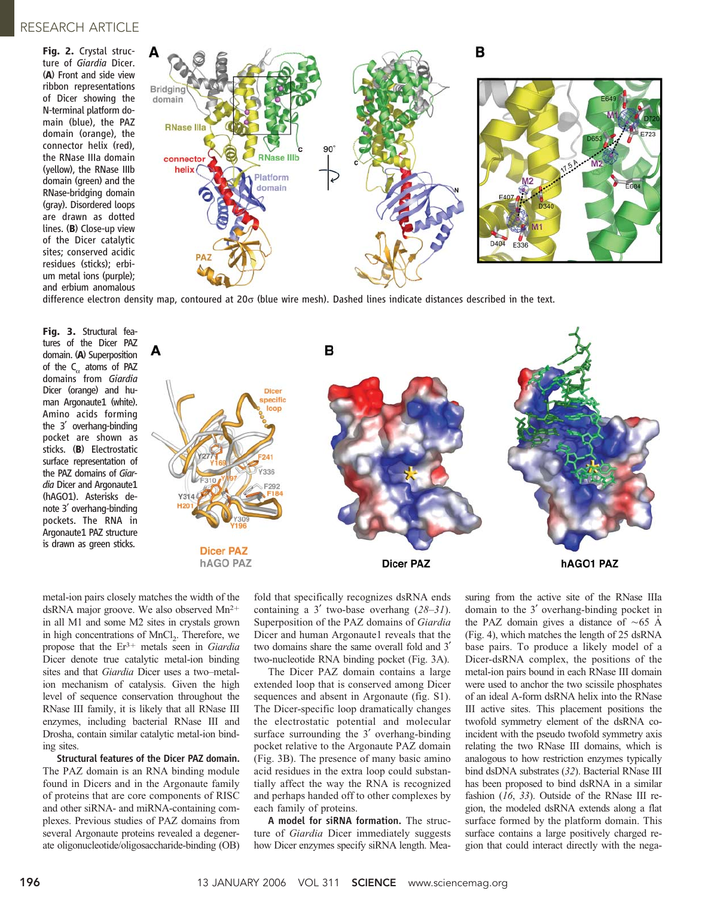### RESEARCH ARTICLE

Fig. 2. Crystal structure of Giardia Dicer. (A) Front and side view ribbon representations of Dicer showing the N-terminal platform domain (blue), the PAZ domain (orange), the connector helix (red), the RNase IIIa domain (yellow), the RNase IIIb domain (green) and the RNase-bridging domain (gray). Disordered loops are drawn as dotted lines. (B) Close-up view of the Dicer catalytic sites; conserved acidic residues (sticks); erbium metal ions (purple); and erbium anomalous



difference electron density map, contoured at 20 $\sigma$  (blue wire mesh). Dashed lines indicate distances described in the text.

Fig. 3. Structural features of the Dicer PAZ domain. (A) Superposition of the  $C_{\alpha}$  atoms of PAZ domains from Giardia Dicer (orange) and human Argonaute1 (white). Amino acids forming the  $3'$  overhang-binding pocket are shown as sticks. (B) Electrostatic surface representation of the PAZ domains of Giardia Dicer and Argonaute1 (hAGO1). Asterisks denote 3<sup>'</sup> overhang-binding pockets. The RNA in Argonaute1 PAZ structure is drawn as green sticks.



metal-ion pairs closely matches the width of the dsRNA major groove. We also observed  $Mn^{2+}$ in all M1 and some M2 sites in crystals grown in high concentrations of MnCl<sub>2</sub>. Therefore, we propose that the  $Er^{3+}$  metals seen in Giardia Dicer denote true catalytic metal-ion binding sites and that Giardia Dicer uses a two–metalion mechanism of catalysis. Given the high level of sequence conservation throughout the RNase III family, it is likely that all RNase III enzymes, including bacterial RNase III and Drosha, contain similar catalytic metal-ion binding sites.

Structural features of the Dicer PAZ domain. The PAZ domain is an RNA binding module found in Dicers and in the Argonaute family of proteins that are core components of RISC and other siRNA- and miRNA-containing complexes. Previous studies of PAZ domains from several Argonaute proteins revealed a degenerate oligonucleotide/oligosaccharide-binding (OB)

fold that specifically recognizes dsRNA ends containing a 3' two-base overhang  $(28-31)$ . Superposition of the PAZ domains of Giardia Dicer and human Argonaute1 reveals that the two domains share the same overall fold and 3<sup>'</sup> two-nucleotide RNA binding pocket (Fig. 3A).

The Dicer PAZ domain contains a large extended loop that is conserved among Dicer sequences and absent in Argonaute (fig. S1). The Dicer-specific loop dramatically changes the electrostatic potential and molecular surface surrounding the  $3'$  overhang-binding pocket relative to the Argonaute PAZ domain (Fig. 3B). The presence of many basic amino acid residues in the extra loop could substantially affect the way the RNA is recognized and perhaps handed off to other complexes by each family of proteins.

A model for siRNA formation. The structure of *Giardia* Dicer immediately suggests how Dicer enzymes specify siRNA length. Measuring from the active site of the RNase IIIa domain to the 3<sup>'</sup> overhang-binding pocket in the PAZ domain gives a distance of  $\sim 65$  Å (Fig. 4), which matches the length of 25 dsRNA base pairs. To produce a likely model of a Dicer-dsRNA complex, the positions of the metal-ion pairs bound in each RNase III domain were used to anchor the two scissile phosphates of an ideal A-form dsRNA helix into the RNase III active sites. This placement positions the twofold symmetry element of the dsRNA coincident with the pseudo twofold symmetry axis relating the two RNase III domains, which is analogous to how restriction enzymes typically bind dsDNA substrates (32). Bacterial RNase III has been proposed to bind dsRNA in a similar fashion (16, 33). Outside of the RNase III region, the modeled dsRNA extends along a flat surface formed by the platform domain. This surface contains a large positively charged region that could interact directly with the nega-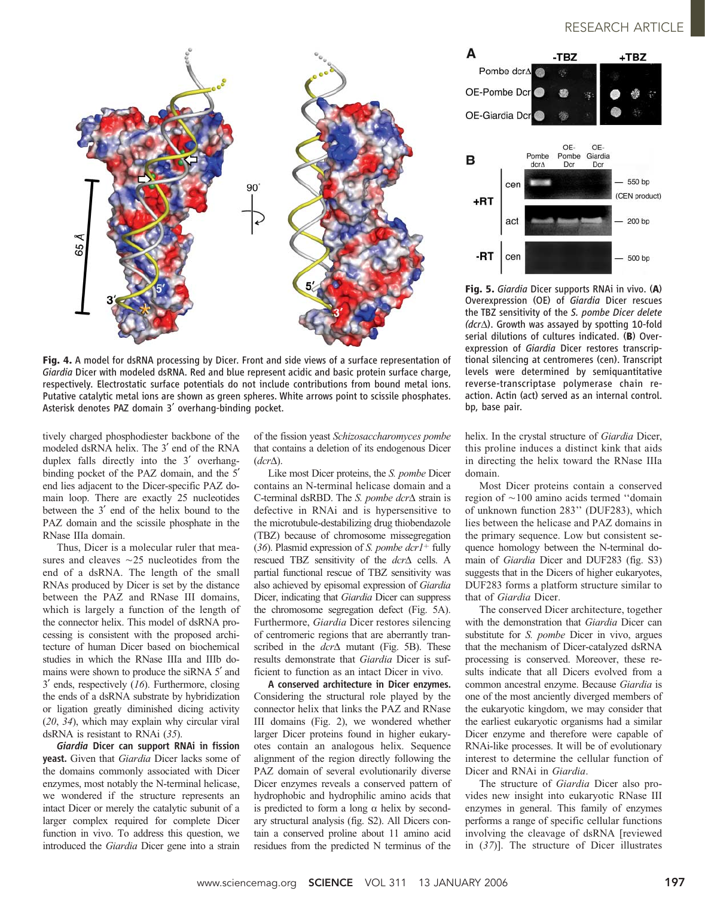

Fig. 4. A model for dsRNA processing by Dicer. Front and side views of a surface representation of Giardia Dicer with modeled dsRNA. Red and blue represent acidic and basic protein surface charge, respectively. Electrostatic surface potentials do not include contributions from bound metal ions. Putative catalytic metal ions are shown as green spheres. White arrows point to scissile phosphates. Asterisk denotes PAZ domain 3' overhang-binding pocket.

tively charged phosphodiester backbone of the modeled dsRNA helix. The 3' end of the RNA duplex falls directly into the 3' overhangbinding pocket of the PAZ domain, and the 5<sup>'</sup> end lies adjacent to the Dicer-specific PAZ domain loop. There are exactly 25 nucleotides between the 3' end of the helix bound to the PAZ domain and the scissile phosphate in the RNase IIIa domain.

Thus, Dicer is a molecular ruler that measures and cleaves  $\sim$ 25 nucleotides from the end of a dsRNA. The length of the small RNAs produced by Dicer is set by the distance between the PAZ and RNase III domains, which is largely a function of the length of the connector helix. This model of dsRNA processing is consistent with the proposed architecture of human Dicer based on biochemical studies in which the RNase IIIa and IIIb domains were shown to produce the siRNA 5' and  $3'$  ends, respectively (16). Furthermore, closing the ends of a dsRNA substrate by hybridization or ligation greatly diminished dicing activity (20, 34), which may explain why circular viral dsRNA is resistant to RNAi (35).

Giardia Dicer can support RNAi in fission yeast. Given that Giardia Dicer lacks some of the domains commonly associated with Dicer enzymes, most notably the N-terminal helicase, we wondered if the structure represents an intact Dicer or merely the catalytic subunit of a larger complex required for complete Dicer function in vivo. To address this question, we introduced the Giardia Dicer gene into a strain

of the fission yeast Schizosaccharomyces pombe that contains a deletion of its endogenous Dicer  $(dcr\Delta)$ .

Like most Dicer proteins, the S. pombe Dicer contains an N-terminal helicase domain and a C-terminal dsRBD. The *S. pombe dcr* $\triangle$  strain is defective in RNAi and is hypersensitive to the microtubule-destabilizing drug thiobendazole (TBZ) because of chromosome missegregation (36). Plasmid expression of S. pombe  $dcr1^+$  fully rescued TBZ sensitivity of the  $dcr\Delta$  cells. A partial functional rescue of TBZ sensitivity was also achieved by episomal expression of Giardia Dicer, indicating that Giardia Dicer can suppress the chromosome segregation defect (Fig. 5A). Furthermore, Giardia Dicer restores silencing of centromeric regions that are aberrantly transcribed in the  $dcr\Delta$  mutant (Fig. 5B). These results demonstrate that Giardia Dicer is sufficient to function as an intact Dicer in vivo.

A conserved architecture in Dicer enzymes. Considering the structural role played by the connector helix that links the PAZ and RNase III domains (Fig. 2), we wondered whether larger Dicer proteins found in higher eukaryotes contain an analogous helix. Sequence alignment of the region directly following the PAZ domain of several evolutionarily diverse Dicer enzymes reveals a conserved pattern of hydrophobic and hydrophilic amino acids that is predicted to form a long  $\alpha$  helix by secondary structural analysis (fig. S2). All Dicers contain a conserved proline about 11 amino acid residues from the predicted N terminus of the



Fig. 5. Giardia Dicer supports RNAi in vivo. (A) Overexpression (OE) of Giardia Dicer rescues the TBZ sensitivity of the S. pombe Dicer delete  $(dcr\Delta)$ . Growth was assayed by spotting 10-fold serial dilutions of cultures indicated. (B) Overexpression of Giardia Dicer restores transcriptional silencing at centromeres (cen). Transcript levels were determined by semiquantitative reverse-transcriptase polymerase chain reaction. Actin (act) served as an internal control. bp, base pair.

helix. In the crystal structure of Giardia Dicer, this proline induces a distinct kink that aids in directing the helix toward the RNase IIIa domain.

Most Dicer proteins contain a conserved region of  $\sim$ 100 amino acids termed "domain of unknown function 283'' (DUF283), which lies between the helicase and PAZ domains in the primary sequence. Low but consistent sequence homology between the N-terminal domain of Giardia Dicer and DUF283 (fig. S3) suggests that in the Dicers of higher eukaryotes, DUF283 forms a platform structure similar to that of Giardia Dicer.

The conserved Dicer architecture, together with the demonstration that *Giardia* Dicer can substitute for *S. pombe* Dicer in vivo, argues that the mechanism of Dicer-catalyzed dsRNA processing is conserved. Moreover, these results indicate that all Dicers evolved from a common ancestral enzyme. Because Giardia is one of the most anciently diverged members of the eukaryotic kingdom, we may consider that the earliest eukaryotic organisms had a similar Dicer enzyme and therefore were capable of RNAi-like processes. It will be of evolutionary interest to determine the cellular function of Dicer and RNAi in Giardia.

The structure of Giardia Dicer also provides new insight into eukaryotic RNase III enzymes in general. This family of enzymes performs a range of specific cellular functions involving the cleavage of dsRNA [reviewed in (37)]. The structure of Dicer illustrates